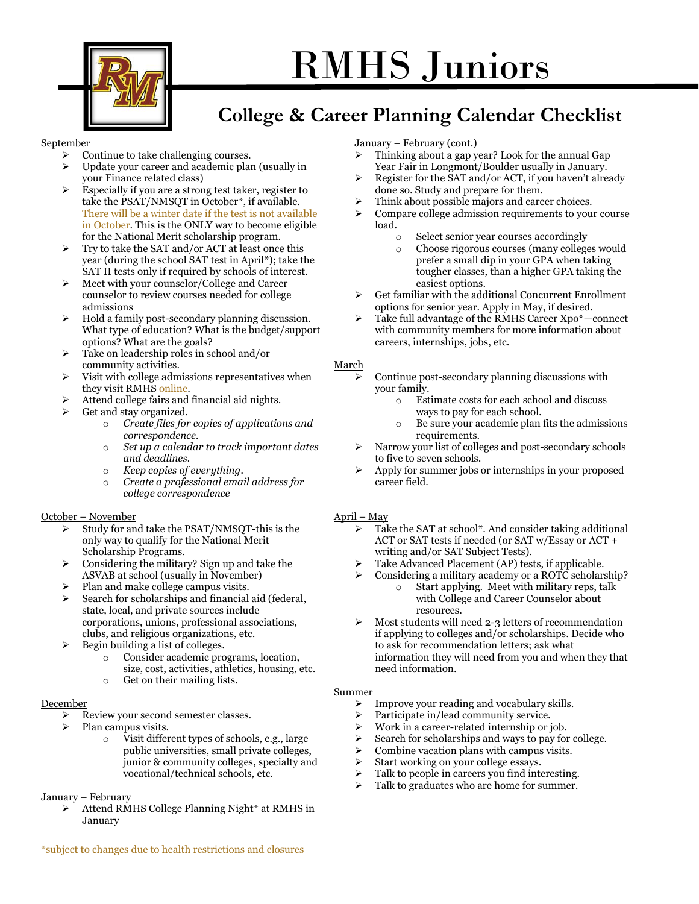

# RMHS Juniors

# **College & Career Planning Calendar Checklist**

#### September

- ➢ Continue to take challenging courses.
- ➢ Update your career and academic plan (usually in your Finance related class)
- ➢ Especially if you are a strong test taker, register to take the PSAT/NMSQT in October\*, if available. There will be a winter date if the test is not available in October. This is the ONLY way to become eligible for the National Merit scholarship program.
- ➢ Try to take the SAT and/or ACT at least once this year (during the school SAT test in April\*); take the SAT II tests only if required by schools of interest.
- ➢ Meet with your counselor/College and Career counselor to review courses needed for college admissions
- ➢ Hold a family post-secondary planning discussion. What type of education? What is the budget/support options? What are the goals?
- ➢ Take on leadership roles in school and/or community activities.
- ➢ Visit with college admissions representatives when they visit RMHS online.
- ➢ Attend college fairs and financial aid nights.
- ➢ Get and stay organized.
	- o *Create files for copies of applications and correspondence.*
	- o *Set up a calendar to track important dates and deadlines.*
	- o *Keep copies of everything.*
	- o *Create a professional email address for college correspondence*

#### October – November

- ➢ Study for and take the PSAT/NMSQT-this is the only way to qualify for the National Merit Scholarship Programs.
- ➢ Considering the military? Sign up and take the ASVAB at school (usually in November)
- ➢ Plan and make college campus visits.
- ➢ Search for scholarships and financial aid (federal, state, local, and private sources include corporations, unions, professional associations, clubs, and religious organizations, etc.
- $\triangleright$  Begin building a list of colleges.
	- o Consider academic programs, location, size, cost, activities, athletics, housing, etc.
	- o Get on their mailing lists.

#### December

- ➢ Review your second semester classes.
- $\triangleright$  Plan campus visits.
	- o Visit different types of schools, e.g., large public universities, small private colleges, junior & community colleges, specialty and vocational/technical schools, etc.

#### January – February

➢ Attend RMHS College Planning Night\* at RMHS in January

#### January – February (cont.)

- ➢ Thinking about a gap year? Look for the annual Gap Year Fair in Longmont/Boulder usually in January.
- ➢ Register for the SAT and/or ACT, if you haven't already done so. Study and prepare for them.
- Think about possible majors and career choices.
- ➢ Compare college admission requirements to your course load.
	- o Select senior year courses accordingly
	- o Choose rigorous courses (many colleges would prefer a small dip in your GPA when taking tougher classes, than a higher GPA taking the easiest options.
- Get familiar with the additional Concurrent Enrollment options for senior year. Apply in May, if desired.
- ➢ Take full advantage of the RMHS Career Xpo\*—connect with community members for more information about careers, internships, jobs, etc.

#### March

- ➢ Continue post-secondary planning discussions with your family.
	- o Estimate costs for each school and discuss ways to pay for each school.
	- o Be sure your academic plan fits the admissions requirements.
- ➢ Narrow your list of colleges and post-secondary schools to five to seven schools.
- ➢ Apply for summer jobs or internships in your proposed career field.

#### April – May

- Take the SAT at school\*. And consider taking additional ACT or SAT tests if needed (or SAT w/Essay or ACT + writing and/or SAT Subject Tests).
- Take Advanced Placement (AP) tests, if applicable.
	- ➢ Considering a military academy or a ROTC scholarship? o Start applying. Meet with military reps, talk with College and Career Counselor about resources.
- $\triangleright$  Most students will need 2-3 letters of recommendation if applying to colleges and/or scholarships. Decide who to ask for recommendation letters; ask what information they will need from you and when they that need information.

#### Summer

- ➢ Improve your reading and vocabulary skills.
- ➢ Participate in/lead community service.
- ➢ Work in a career-related internship or job.
- ➢ Search for scholarships and ways to pay for college.
- $\triangleright$  Combine vacation plans with campus visits.
- ➢ Start working on your college essays.
- $\triangleright$  Talk to people in careers you find interesting.
- Talk to graduates who are home for summer.